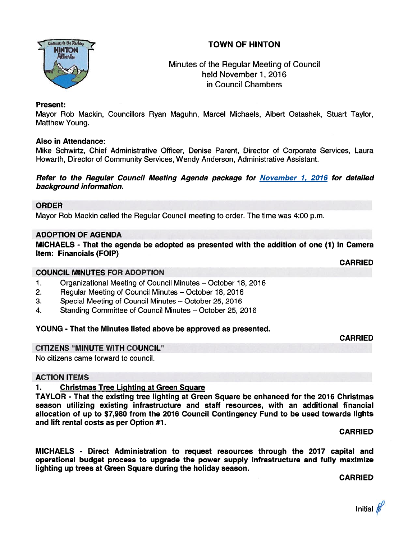# TOWN OF HINTON



Minutes of the Regular Meeting of Council held November 1, 2016 in Council Chambers

## Present:

Mayor Rob Mackin, Councillors Ryan Maguhn, Marcel Michaels, Albert Ostashek, Stuart Taylor, Matthew Young.

### Also in Attendance:

Mike Schwirtz, Chief Administrative Officer, Denise Parent, Director of Corporate Services, Laura Howarth, Director of Community Services, Wendy Anderson, Administrative Assistant.

Refer to the Regular Council Meeting Agenda package for November 1, 2076 for detailed background information.

### ORDER

Mayor Rob Mackin called the Regular Council meeting to order. The time was 4:00 p.m.

# ADOPTION OF AGENDA

MICHAELS - That the agenda be adopted as presented with the addition of one (1) In Camera Item: Financials (FOIP)

CARRIED

#### COUNCIL MINUTES FOR ADOPTION

- 1. Organizational Meeting of Council Minutes October 18, 2016
- 2. Regular Meeting of Council Minutes October 18, 2016
- 3. Special Meeting of Council Minutes October 25, 2016
- 4. Standing Committee of Council Minutes October 25, 2016

# YOUNG - That the Minutes listed above be approved as presented.

CARRIED

# CITIZENS "MINUTE WITH COUNCIL"

No citizens came forward to council.

#### ACTION ITEMS

# 1. Christmas Tree Lighting at Green Sguare

TAYLOR - That the existing tree lighting at Green Square be enhanced for the 2076 Christmas season utilizing existing infrastructure and staff resources, with an additional financial allocation of up to \$7,980 from the 2016 Council Contingency Fund to be used towards lights and lift rental costs as per Option #7.

CARRIED

MICHAELS - Direct Administration to reques<sup>t</sup> resources through the 2017 capital and operational budget process to upgrade the power supply infrastructure and fully maximize lighting up trees at Green Square during the holiday season.

CARRIED

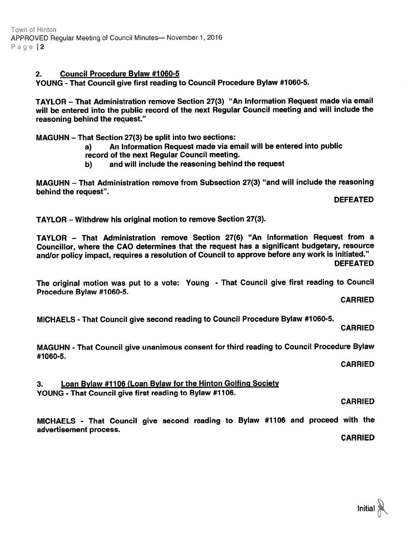# 2. Council Procedure Bylaw #1060-5

YOUNG - That Council <sup>g</sup>ive first reading to Council Procedure Bylaw #1060-5.

TAYLOR — That Administration remove Section 27(3) "An Information Request made via email will be entered into the public record of the next Regular Council meeting and will include the reasoning behind the request."

MAGUHN — That Section 27(3) be split into two sections:

- a) An Information Request made via email will be entered into public
- record of the next Regular Council meeting.
- b) and will include the reasoning behind the reques<sup>t</sup>

MAGUHN — That Administration remove from Subsection 27(3) "and will include the reasoning behind the request".

DEFEATED

TAYLOR — Withdrew his original motion to remove Section 27(3).

TAYLOR — That Administration remove Section 27(6) "An Information Request from <sup>a</sup> Councillor, where the CAO determines that the reques<sup>t</sup> has <sup>a</sup> significant budgetary, resource and/or policy impact, requires <sup>a</sup> resolution of Council to approve before any work is initiated."

DEFEATED

The original motion was pu<sup>t</sup> to <sup>a</sup> vote: Young - That Council <sup>g</sup>ive first reading to Council Procedure Bylaw #1060-5.

CARRIED

MICHAELS - That Council <sup>g</sup>ive second reading to Council Procedure Bylaw #1060-5.

CARRIED

MAGUHN - That Council <sup>g</sup>ive unanimous consent for third reading to Council Procedure Bylaw #1060-5.

CARRIED

3. Loan Bylaw #1106 (Loan Bylaw for the Hinton Golfing Society YOUNG - That Council give first reading to Bylaw #1106.

CARRIED

MICHAELS - That Council <sup>g</sup>ive second reading to Bylaw #1106 and procee<sup>d</sup> with the advertisement process.

CARRIED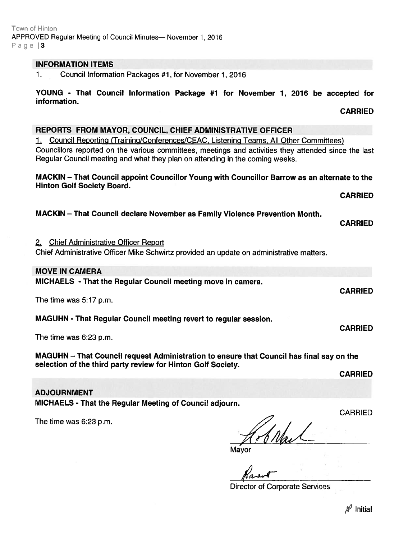## INFORMATION ITEMS

1. Council Information Packages #1, for November 1, 2016

YOUNG - That Council Information Package #1 for November 1, 2016 be accepted for information.

# REPORTS FROM MAYOR, COUNCIL, CHIEF ADMINISTRATIVE OFFICER

1. Council Reporting (Training/Conferences/CEAC, Listening Teams, All Other Committees) Councillors reported on the various committees, meetings and activities they attended since the last Regular Council meeting and what they plan on attending in the coming weeks.

MACKIN — That Council appoint Councillor Young with Councillor Barrow as an alternate to the Hinton Golf Society Board.

# MACKIN — That Council declare November as Family Violence Prevention Month.

2. Chief Administrative Officer Report

Chief Administrative Oflicer Mike Schwirtz provided an update on administrative matters.

# MOVE IN CAMERA

MICHAELS - That the Regular Council meeting move in camera.

The time was 5:17 p.m.

MAGUHN - That Regular Council meeting revert to regular session.

The time was 6:23 p.m.

MAGUHN — That Council reques<sup>t</sup> Administration to ensure that Council has final say on the selection of the third party review for Hinton Golf Society.

CARRIED

ADJOURNMENT MICHAELS - That the Regular Meeting of Council adjourn.

The time was 6:23 p.m.

Shku

Mayor

Karol

Director of Corporate Services

**CARRIED** 

CARRIED

CARRIED

CARRIED

CARRIED

CARRIED